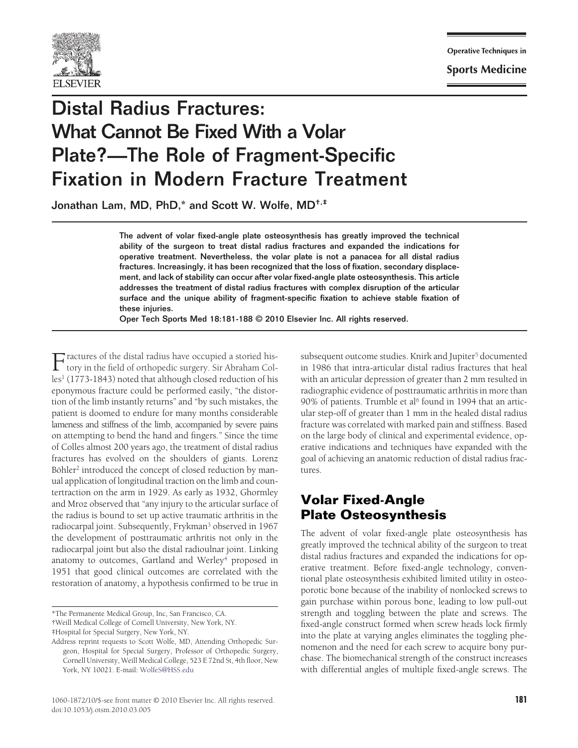

#### **Sports Medicine**

# Distal Radius Fractures: What Cannot Be Fixed With a Volar Plate?—The Role of Fragment-Specific Fixation in Modern Fracture Treatment

Jonathan Lam, MD, PhD,\* and Scott W. Wolfe, MD†,‡

The advent of volar fixed-angle plate osteosynthesis has greatly improved the technical ability of the surgeon to treat distal radius fractures and expanded the indications for operative treatment. Nevertheless, the volar plate is not a panacea for all distal radius fractures. Increasingly, it has been recognized that the loss of fixation, secondary displacement, and lack of stability can occur after volar fixed-angle plate osteosynthesis. This article addresses the treatment of distal radius fractures with complex disruption of the articular surface and the unique ability of fragment-specific fixation to achieve stable fixation of these injuries.

Oper Tech Sports Med 18:181-188 © 2010 Elsevier Inc. All rights reserved.

Fractures of the distal radius have occupied a storied his-<br>tory in the field of orthopedic surgery. Sir Abraham Col- $\text{les}^1$  (1773-1843) noted that although closed reduction of his eponymous fracture could be performed easily, "the distortion of the limb instantly returns" and "by such mistakes, the patient is doomed to endure for many months considerable lameness and stiffness of the limb, accompanied by severe pains on attempting to bend the hand and fingers." Since the time of Colles almost 200 years ago, the treatment of distal radius fractures has evolved on the shoulders of giants. Lorenz Böhler<sup>2</sup> introduced the concept of closed reduction by manual application of longitudinal traction on the limb and countertraction on the arm in 1929. As early as 1932, Ghormley and Mroz observed that "any injury to the articular surface of the radius is bound to set up active traumatic arthritis in the radiocarpal joint. Subsequently, Frykman<sup>3</sup> observed in 1967 the development of posttraumatic arthritis not only in the radiocarpal joint but also the distal radioulnar joint. Linking anatomy to outcomes, Gartland and Werley<sup>4</sup> proposed in 1951 that good clinical outcomes are correlated with the restoration of anatomy, a hypothesis confirmed to be true in

\*The Permanente Medical Group, Inc, San Francisco, CA.

†Weill Medical College of Cornell University, New York, NY.

‡Hospital for Special Surgery, New York, NY.

subsequent outcome studies. Knirk and Jupiter<sup>5</sup> documented in 1986 that intra-articular distal radius fractures that heal with an articular depression of greater than 2 mm resulted in radiographic evidence of posttraumatic arthritis in more than 90% of patients. Trumble et al<sup>6</sup> found in 1994 that an articular step-off of greater than 1 mm in the healed distal radius fracture was correlated with marked pain and stiffness. Based on the large body of clinical and experimental evidence, operative indications and techniques have expanded with the goal of achieving an anatomic reduction of distal radius fractures.

## **Volar Fixed-Angle Plate Osteosynthesis**

The advent of volar fixed-angle plate osteosynthesis has greatly improved the technical ability of the surgeon to treat distal radius fractures and expanded the indications for operative treatment. Before fixed-angle technology, conventional plate osteosynthesis exhibited limited utility in osteoporotic bone because of the inability of nonlocked screws to gain purchase within porous bone, leading to low pull-out strength and toggling between the plate and screws. The fixed-angle construct formed when screw heads lock firmly into the plate at varying angles eliminates the toggling phenomenon and the need for each screw to acquire bony purchase. The biomechanical strength of the construct increases with differential angles of multiple fixed-angle screws. The

Address reprint requests to Scott Wolfe, MD, Attending Orthopedic Surgeon, Hospital for Special Surgery, Professor of Orthopedic Surgery, Cornell University, Weill Medical College, 523 E 72nd St, 4th floor, New York, NY 10021. E-mail: WolfeS@HSS.edu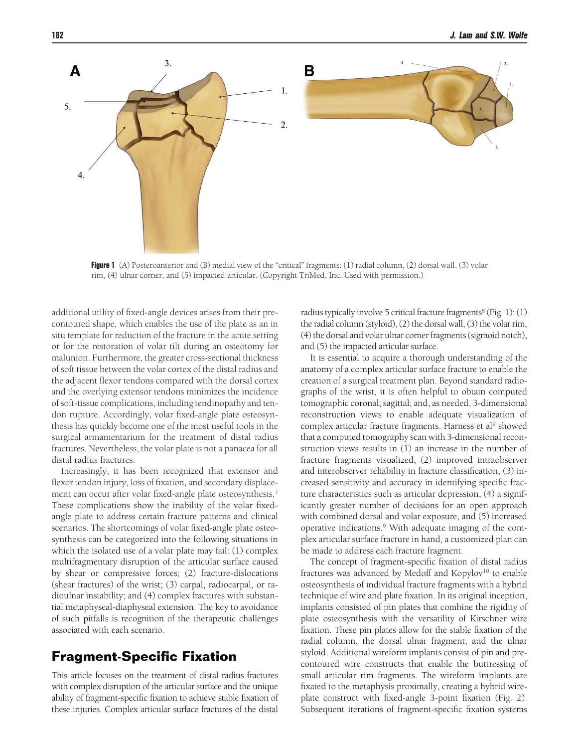

**Figure 1** (A) Posteroanterior and (B) medial view of the "critical" fragments: (1) radial column, (2) dorsal wall, (3) volar rim, (4) ulnar corner, and (5) impacted articular. (Copyright TriMed, Inc. Used with permission.)

additional utility of fixed-angle devices arises from their precontoured shape, which enables the use of the plate as an in situ template for reduction of the fracture in the acute setting or for the restoration of volar tilt during an osteotomy for malunion. Furthermore, the greater cross-sectional thickness of soft tissue between the volar cortex of the distal radius and the adjacent flexor tendons compared with the dorsal cortex and the overlying extensor tendons minimizes the incidence of soft-tissue complications, including tendinopathy and tendon rupture. Accordingly, volar fixed-angle plate osteosynthesis has quickly become one of the most useful tools in the surgical armamentarium for the treatment of distal radius fractures. Nevertheless, the volar plate is not a panacea for all distal radius fractures.

Increasingly, it has been recognized that extensor and flexor tendon injury, loss of fixation, and secondary displacement can occur after volar fixed-angle plate osteosynthesis.<sup>7</sup> These complications show the inability of the volar fixedangle plate to address certain fracture patterns and clinical scenarios. The shortcomings of volar fixed-angle plate osteosynthesis can be categorized into the following situations in which the isolated use of a volar plate may fail: (1) complex multifragmentary disruption of the articular surface caused by shear or compressive forces; (2) fracture-dislocations (shear fractures) of the wrist; (3) carpal, radiocarpal, or radioulnar instability; and (4) complex fractures with substantial metaphyseal-diaphyseal extension. The key to avoidance of such pitfalls is recognition of the therapeutic challenges associated with each scenario.

### **Fragment-Specific Fixation**

This article focuses on the treatment of distal radius fractures with complex disruption of the articular surface and the unique ability of fragment-specific fixation to achieve stable fixation of these injuries. Complex articular surface fractures of the distal

radius typically involve 5 critical fracture fragments<sup>8</sup> (Fig. 1):  $(1)$ the radial column (styloid), (2) the dorsal wall, (3) the volar rim, (4) the dorsal and volar ulnar corner fragments (sigmoid notch), and (5) the impacted articular surface.

It is essential to acquire a thorough understanding of the anatomy of a complex articular surface fracture to enable the creation of a surgical treatment plan. Beyond standard radiographs of the wrist, it is often helpful to obtain computed tomographic coronal; sagittal; and, as needed, 3-dimensional reconstruction views to enable adequate visualization of complex articular fracture fragments. Harness et al<sup>9</sup> showed that a computed tomography scan with 3-dimensional reconstruction views results in (1) an increase in the number of fracture fragments visualized, (2) improved intraobserver and interobserver reliability in fracture classification, (3) increased sensitivity and accuracy in identifying specific fracture characteristics such as articular depression, (4) a significantly greater number of decisions for an open approach with combined dorsal and volar exposure, and (5) increased operative indications.9 With adequate imaging of the complex articular surface fracture in hand, a customized plan can be made to address each fracture fragment.

The concept of fragment-specific fixation of distal radius fractures was advanced by Medoff and Kopylov $10$  to enable osteosynthesis of individual fracture fragments with a hybrid technique of wire and plate fixation. In its original inception, implants consisted of pin plates that combine the rigidity of plate osteosynthesis with the versatility of Kirschner wire fixation. These pin plates allow for the stable fixation of the radial column, the dorsal ulnar fragment, and the ulnar styloid. Additional wireform implants consist of pin and precontoured wire constructs that enable the buttressing of small articular rim fragments. The wireform implants are fixated to the metaphysis proximally, creating a hybrid wireplate construct with fixed-angle 3-point fixation (Fig. 2). Subsequent iterations of fragment-specific fixation systems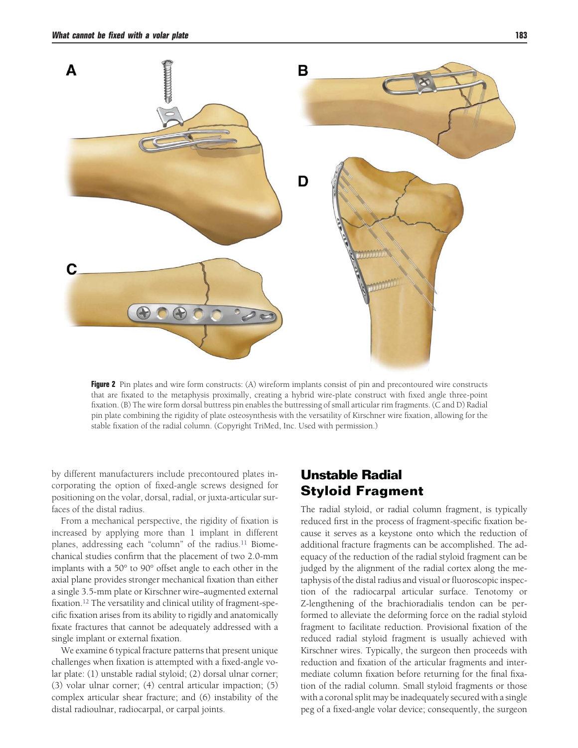

**Figure 2** Pin plates and wire form constructs: (A) wireform implants consist of pin and precontoured wire constructs that are fixated to the metaphysis proximally, creating a hybrid wire-plate construct with fixed angle three-point fixation. (B) The wire form dorsal buttress pin enables the buttressing of small articular rim fragments. (C and D) Radial pin plate combining the rigidity of plate osteosynthesis with the versatility of Kirschner wire fixation, allowing for the stable fixation of the radial column. (Copyright TriMed, Inc. Used with permission.)

by different manufacturers include precontoured plates incorporating the option of fixed-angle screws designed for positioning on the volar, dorsal, radial, or juxta-articular surfaces of the distal radius.

From a mechanical perspective, the rigidity of fixation is increased by applying more than 1 implant in different planes, addressing each "column" of the radius.<sup>11</sup> Biomechanical studies confirm that the placement of two 2.0-mm implants with a 50° to 90° offset angle to each other in the axial plane provides stronger mechanical fixation than either a single 3.5-mm plate or Kirschner wire–augmented external fixation.<sup>12</sup> The versatility and clinical utility of fragment-specific fixation arises from its ability to rigidly and anatomically fixate fractures that cannot be adequately addressed with a single implant or external fixation.

We examine 6 typical fracture patterns that present unique challenges when fixation is attempted with a fixed-angle volar plate: (1) unstable radial styloid; (2) dorsal ulnar corner; (3) volar ulnar corner; (4) central articular impaction; (5) complex articular shear fracture; and (6) instability of the distal radioulnar, radiocarpal, or carpal joints.

## **Unstable Radial Styloid Fragment**

The radial styloid, or radial column fragment, is typically reduced first in the process of fragment-specific fixation because it serves as a keystone onto which the reduction of additional fracture fragments can be accomplished. The adequacy of the reduction of the radial styloid fragment can be judged by the alignment of the radial cortex along the metaphysis of the distal radius and visual or fluoroscopic inspection of the radiocarpal articular surface. Tenotomy or Z-lengthening of the brachioradialis tendon can be performed to alleviate the deforming force on the radial styloid fragment to facilitate reduction. Provisional fixation of the reduced radial styloid fragment is usually achieved with Kirschner wires. Typically, the surgeon then proceeds with reduction and fixation of the articular fragments and intermediate column fixation before returning for the final fixation of the radial column. Small styloid fragments or those with a coronal split may be inadequately secured with a single peg of a fixed-angle volar device; consequently, the surgeon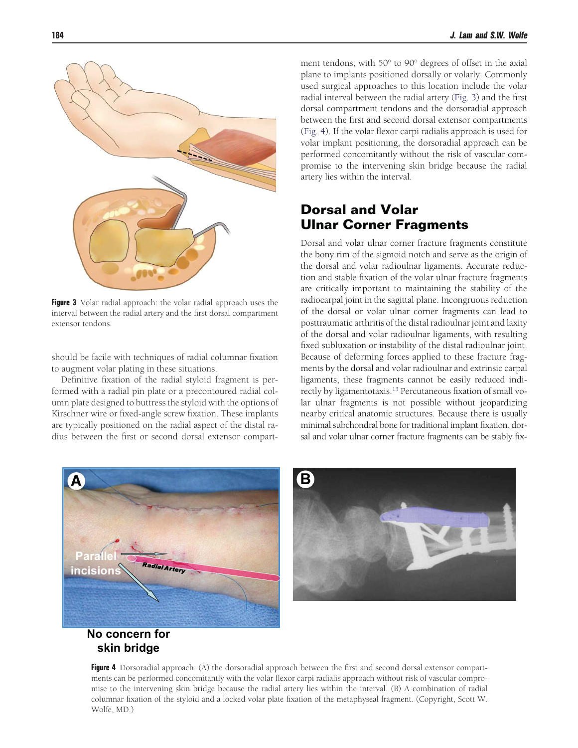

**Figure 3** Volar radial approach: the volar radial approach uses the interval between the radial artery and the first dorsal compartment extensor tendons.

should be facile with techniques of radial columnar fixation to augment volar plating in these situations.

Definitive fixation of the radial styloid fragment is performed with a radial pin plate or a precontoured radial column plate designed to buttress the styloid with the options of Kirschner wire or fixed-angle screw fixation. These implants are typically positioned on the radial aspect of the distal radius between the first or second dorsal extensor compartment tendons, with 50° to 90° degrees of offset in the axial plane to implants positioned dorsally or volarly. Commonly used surgical approaches to this location include the volar radial interval between the radial artery (Fig. 3) and the first dorsal compartment tendons and the dorsoradial approach between the first and second dorsal extensor compartments (Fig. 4). If the volar flexor carpi radialis approach is used for volar implant positioning, the dorsoradial approach can be performed concomitantly without the risk of vascular compromise to the intervening skin bridge because the radial artery lies within the interval.

## **Dorsal and Volar Ulnar Corner Fragments**

Dorsal and volar ulnar corner fracture fragments constitute the bony rim of the sigmoid notch and serve as the origin of the dorsal and volar radioulnar ligaments. Accurate reduction and stable fixation of the volar ulnar fracture fragments are critically important to maintaining the stability of the radiocarpal joint in the sagittal plane. Incongruous reduction of the dorsal or volar ulnar corner fragments can lead to posttraumatic arthritis of the distal radioulnar joint and laxity of the dorsal and volar radioulnar ligaments, with resulting fixed subluxation or instability of the distal radioulnar joint. Because of deforming forces applied to these fracture fragments by the dorsal and volar radioulnar and extrinsic carpal ligaments, these fragments cannot be easily reduced indirectly by ligamentotaxis.13 Percutaneous fixation of small volar ulnar fragments is not possible without jeopardizing nearby critical anatomic structures. Because there is usually minimal subchondral bone for traditional implant fixation, dorsal and volar ulnar corner fracture fragments can be stably fix-



#### **No concern for skin bridge**

**Figure 4** Dorsoradial approach: (A) the dorsoradial approach between the first and second dorsal extensor compartments can be performed concomitantly with the volar flexor carpi radialis approach without risk of vascular compromise to the intervening skin bridge because the radial artery lies within the interval. (B) A combination of radial columnar fixation of the styloid and a locked volar plate fixation of the metaphyseal fragment. (Copyright, Scott W. Wolfe, MD.)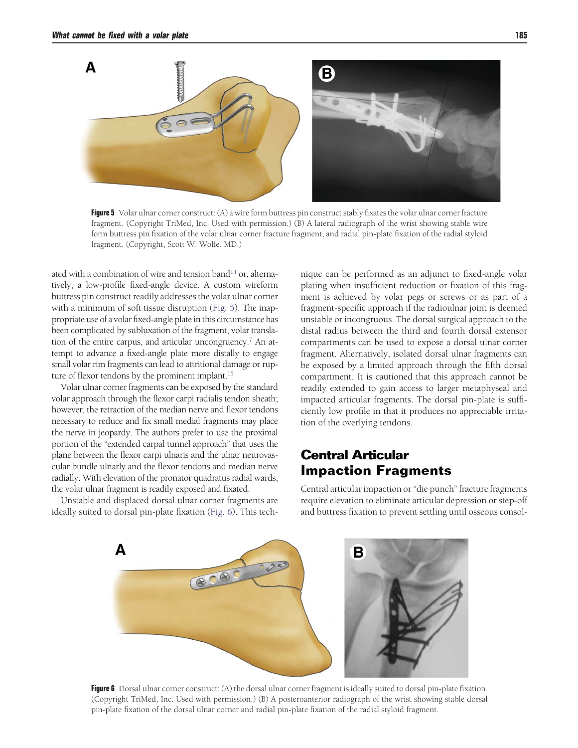

**Figure 5** Volar ulnar corner construct: (A) a wire form buttress pin construct stably fixates the volar ulnar corner fracture fragment. (Copyright TriMed, Inc. Used with permission.) (B) A lateral radiograph of the wrist showing stable wire form buttress pin fixation of the volar ulnar corner fracture fragment, and radial pin-plate fixation of the radial styloid fragment. (Copyright, Scott W. Wolfe, MD.)

ated with a combination of wire and tension band<sup>14</sup> or, alternatively, a low-profile fixed-angle device. A custom wireform buttress pin construct readily addresses the volar ulnar corner with a minimum of soft tissue disruption (Fig. 5). The inappropriate use of a volar fixed-angle plate inthis circumstance has been complicated by subluxation of the fragment, volar translation of the entire carpus, and articular uncongruency.<sup>7</sup> An attempt to advance a fixed-angle plate more distally to engage small volar rim fragments can lead to attritional damage or rupture of flexor tendons by the prominent implant.<sup>15</sup>

Volar ulnar corner fragments can be exposed by the standard volar approach through the flexor carpi radialis tendon sheath; however, the retraction of the median nerve and flexor tendons necessary to reduce and fix small medial fragments may place the nerve in jeopardy. The authors prefer to use the proximal portion of the "extended carpal tunnel approach" that uses the plane between the flexor carpi ulnaris and the ulnar neurovascular bundle ulnarly and the flexor tendons and median nerve radially. With elevation of the pronator quadratus radial wards, the volar ulnar fragment is readily exposed and fixated.

Unstable and displaced dorsal ulnar corner fragments are ideally suited to dorsal pin-plate fixation (Fig. 6). This technique can be performed as an adjunct to fixed-angle volar plating when insufficient reduction or fixation of this fragment is achieved by volar pegs or screws or as part of a fragment-specific approach if the radioulnar joint is deemed unstable or incongruous. The dorsal surgical approach to the distal radius between the third and fourth dorsal extensor compartments can be used to expose a dorsal ulnar corner fragment. Alternatively, isolated dorsal ulnar fragments can be exposed by a limited approach through the fifth dorsal compartment. It is cautioned that this approach cannot be readily extended to gain access to larger metaphyseal and impacted articular fragments. The dorsal pin-plate is sufficiently low profile in that it produces no appreciable irritation of the overlying tendons.

## **Central Articular Impaction Fragments**

Central articular impaction or "die punch" fracture fragments require elevation to eliminate articular depression or step-off and buttress fixation to prevent settling until osseous consol-



**Figure 6** Dorsal ulnar corner construct: (A) the dorsal ulnar corner fragment is ideally suited to dorsal pin-plate fixation. (Copyright TriMed, Inc. Used with permission.) (B) A posteroanterior radiograph of the wrist showing stable dorsal pin-plate fixation of the dorsal ulnar corner and radial pin-plate fixation of the radial styloid fragment.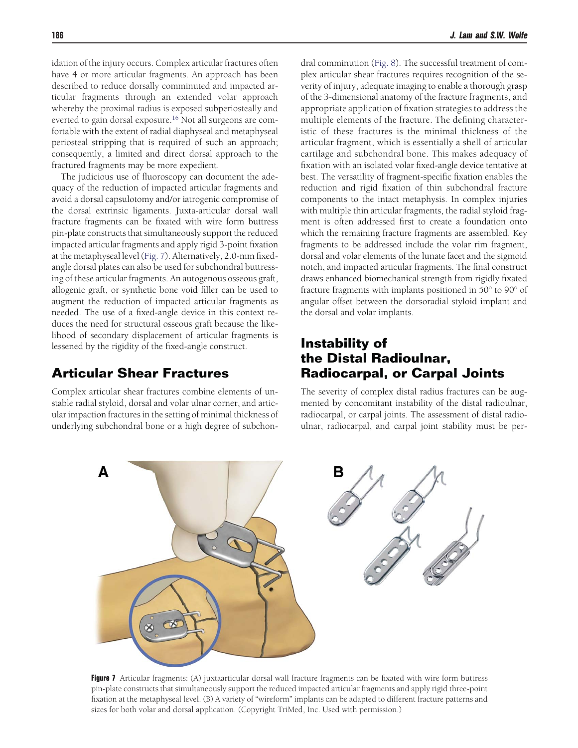idation of the injury occurs. Complex articular fractures often have 4 or more articular fragments. An approach has been described to reduce dorsally comminuted and impacted articular fragments through an extended volar approach whereby the proximal radius is exposed subperiosteally and everted to gain dorsal exposure.<sup>16</sup> Not all surgeons are comfortable with the extent of radial diaphyseal and metaphyseal periosteal stripping that is required of such an approach; consequently, a limited and direct dorsal approach to the fractured fragments may be more expedient.

The judicious use of fluoroscopy can document the adequacy of the reduction of impacted articular fragments and avoid a dorsal capsulotomy and/or iatrogenic compromise of the dorsal extrinsic ligaments. Juxta-articular dorsal wall fracture fragments can be fixated with wire form buttress pin-plate constructs that simultaneously support the reduced impacted articular fragments and apply rigid 3-point fixation at the metaphyseal level (Fig. 7). Alternatively, 2.0-mm fixedangle dorsal plates can also be used for subchondral buttressing of these articular fragments. An autogenous osseous graft, allogenic graft, or synthetic bone void filler can be used to augment the reduction of impacted articular fragments as needed. The use of a fixed-angle device in this context reduces the need for structural osseous graft because the likelihood of secondary displacement of articular fragments is lessened by the rigidity of the fixed-angle construct.

#### **Articular Shear Fractures**

Complex articular shear fractures combine elements of unstable radial styloid, dorsal and volar ulnar corner, and articular impaction fractures in the setting of minimal thickness of underlying subchondral bone or a high degree of subchondral comminution (Fig. 8). The successful treatment of complex articular shear fractures requires recognition of the severity of injury, adequate imaging to enable a thorough grasp of the 3-dimensional anatomy of the fracture fragments, and appropriate application of fixation strategies to address the multiple elements of the fracture. The defining characteristic of these fractures is the minimal thickness of the articular fragment, which is essentially a shell of articular cartilage and subchondral bone. This makes adequacy of fixation with an isolated volar fixed-angle device tentative at best. The versatility of fragment-specific fixation enables the reduction and rigid fixation of thin subchondral fracture components to the intact metaphysis. In complex injuries with multiple thin articular fragments, the radial styloid fragment is often addressed first to create a foundation onto which the remaining fracture fragments are assembled. Key fragments to be addressed include the volar rim fragment, dorsal and volar elements of the lunate facet and the sigmoid notch, and impacted articular fragments. The final construct draws enhanced biomechanical strength from rigidly fixated fracture fragments with implants positioned in 50° to 90° of angular offset between the dorsoradial styloid implant and the dorsal and volar implants.

## **Instability of the Distal Radioulnar, Radiocarpal, or Carpal Joints**

The severity of complex distal radius fractures can be augmented by concomitant instability of the distal radioulnar, radiocarpal, or carpal joints. The assessment of distal radioulnar, radiocarpal, and carpal joint stability must be per-



**Figure 7** Articular fragments: (A) juxtaarticular dorsal wall fracture fragments can be fixated with wire form buttress pin-plate constructs that simultaneously support the reduced impacted articular fragments and apply rigid three-point fixation at the metaphyseal level. (B) A variety of "wireform" implants can be adapted to different fracture patterns and sizes for both volar and dorsal application. (Copyright TriMed, Inc. Used with permission.)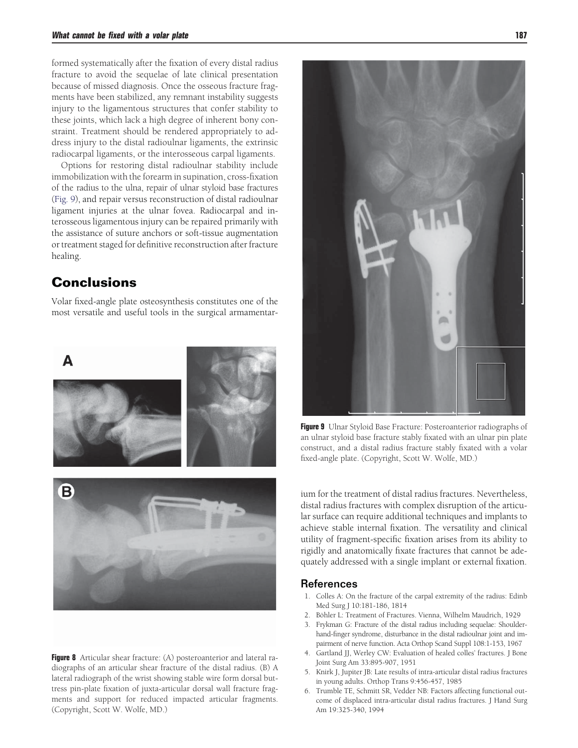formed systematically after the fixation of every distal radius fracture to avoid the sequelae of late clinical presentation because of missed diagnosis. Once the osseous fracture fragments have been stabilized, any remnant instability suggests injury to the ligamentous structures that confer stability to these joints, which lack a high degree of inherent bony constraint. Treatment should be rendered appropriately to address injury to the distal radioulnar ligaments, the extrinsic radiocarpal ligaments, or the interosseous carpal ligaments.

Options for restoring distal radioulnar stability include immobilization with the forearm in supination, cross-fixation of the radius to the ulna, repair of ulnar styloid base fractures (Fig. 9), and repair versus reconstruction of distal radioulnar ligament injuries at the ulnar fovea. Radiocarpal and interosseous ligamentous injury can be repaired primarily with the assistance of suture anchors or soft-tissue augmentation or treatment staged for definitive reconstruction after fracture healing.

#### **Conclusions**

Volar fixed-angle plate osteosynthesis constitutes one of the most versatile and useful tools in the surgical armamentar-



**Figure 8** Articular shear fracture: (A) posteroanterior and lateral radiographs of an articular shear fracture of the distal radius. (B) A lateral radiograph of the wrist showing stable wire form dorsal buttress pin-plate fixation of juxta-articular dorsal wall fracture fragments and support for reduced impacted articular fragments. (Copyright, Scott W. Wolfe, MD.)



**Figure 9** Ulnar Styloid Base Fracture: Posteroanterior radiographs of an ulnar styloid base fracture stably fixated with an ulnar pin plate construct, and a distal radius fracture stably fixated with a volar fixed-angle plate. (Copyright, Scott W. Wolfe, MD.)

ium for the treatment of distal radius fractures. Nevertheless, distal radius fractures with complex disruption of the articular surface can require additional techniques and implants to achieve stable internal fixation. The versatility and clinical utility of fragment-specific fixation arises from its ability to rigidly and anatomically fixate fractures that cannot be adequately addressed with a single implant or external fixation.

#### **References**

- 1. Colles A: On the fracture of the carpal extremity of the radius: Edinb Med Surg J 10:181-186, 1814
- 2. Böhler L: Treatment of Fractures. Vienna, Wilhelm Maudrich, 1929
- 3. Frykman G: Fracture of the distal radius including sequelae: Shoulderhand-finger syndrome, disturbance in the distal radioulnar joint and impairment of nerve function. Acta Orthop Scand Suppl 108:1-153, 1967
- 4. Gartland JJ, Werley CW: Evaluation of healed colles' fractures. J Bone Joint Surg Am 33:895-907, 1951
- 5. Knirk J, Jupiter JB: Late results of intra-articular distal radius fractures in young adults. Orthop Trans 9:456-457, 1985
- 6. Trumble TE, Schmitt SR, Vedder NB: Factors affecting functional outcome of displaced intra-articular distal radius fractures. J Hand Surg Am 19:325-340, 1994